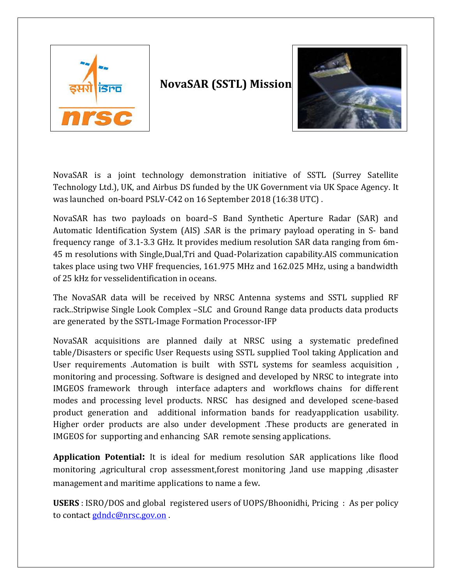

# **NovaSAR (SSTL) Mission**



NovaSAR is a joint technology demonstration initiative of SSTL (Surrey Satellite Technology Ltd.), UK, and Airbus DS funded by the UK Government via UK Space Agency. It was launched on-board PSLV-C42 on 16 September 2018 (16:38 UTC) .

NovaSAR has two payloads on board–S Band Synthetic Aperture Radar (SAR) and Automatic Identification System (AIS) .SAR is the primary payload operating in S- band frequency range of 3.1-3.3 GHz. It provides medium resolution SAR data ranging from 6m-45 m resolutions with Single,Dual,Tri and Quad-Polarization capability.AIS communication takes place using two VHF frequencies, 161.975 MHz and 162.025 MHz, using a bandwidth of 25 kHz for vesselidentification in oceans.

The NovaSAR data will be received by NRSC Antenna systems and SSTL supplied RF rack..Stripwise Single Look Complex –SLC and Ground Range data products data products are generated by the SSTL-Image Formation Processor-IFP

NovaSAR acquisitions are planned daily at NRSC using a systematic predefined table/Disasters or specific User Requests using SSTL supplied Tool taking Application and User requirements .Automation is built with SSTL systems for seamless acquisition , monitoring and processing. Software is designed and developed by NRSC to integrate into IMGEOS framework through interface adapters and workflows chains for different modes and processing level products. NRSC has designed and developed scene-based product generation and additional information bands for readyapplication usability. Higher order products are also under development .These products are generated in IMGEOS for supporting and enhancing SAR remote sensing applications.

**Application Potential:** It is ideal for medium resolution SAR applications like flood monitoring ,agricultural crop assessment,forest monitoring ,land use mapping ,disaster management and maritime applications to name a few.

**USERS** : ISRO/DOS and global registered users of UOPS/Bhoonidhi, Pricing : As per policy to contact [gdndc@nrsc.gov.on](mailto:gdndc@nrsc.gov.on) .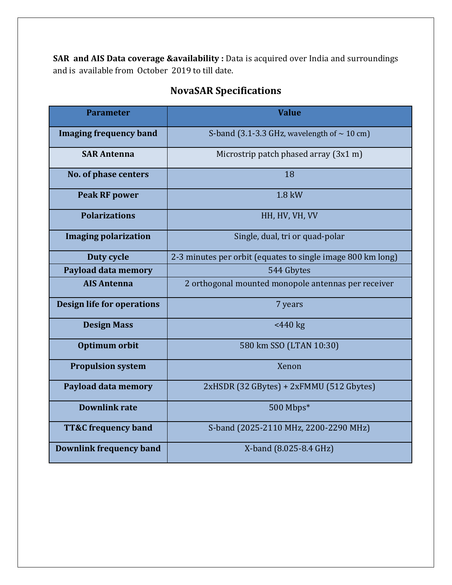SAR and AIS Data coverage &availability : Data is acquired over India and surroundings and is available from October 2019 to till date.

| <b>Parameter</b>                  | <b>Value</b>                                                |  |  |  |
|-----------------------------------|-------------------------------------------------------------|--|--|--|
| <b>Imaging frequency band</b>     | S-band (3.1-3.3 GHz, wavelength of $\sim$ 10 cm)            |  |  |  |
| <b>SAR Antenna</b>                | Microstrip patch phased array (3x1 m)                       |  |  |  |
| No. of phase centers              | 18                                                          |  |  |  |
| <b>Peak RF power</b>              | 1.8 kW                                                      |  |  |  |
| <b>Polarizations</b>              | HH, HV, VH, VV                                              |  |  |  |
| <b>Imaging polarization</b>       | Single, dual, tri or quad-polar                             |  |  |  |
| Duty cycle                        | 2-3 minutes per orbit (equates to single image 800 km long) |  |  |  |
| Payload data memory               | 544 Gbytes                                                  |  |  |  |
| <b>AIS Antenna</b>                | 2 orthogonal mounted monopole antennas per receiver         |  |  |  |
| <b>Design life for operations</b> | 7 years                                                     |  |  |  |
| <b>Design Mass</b>                | $<440$ kg                                                   |  |  |  |
| Optimum orbit                     | 580 km SSO (LTAN 10:30)                                     |  |  |  |
| <b>Propulsion system</b>          | Xenon                                                       |  |  |  |
| Payload data memory               | 2xHSDR (32 GBytes) + 2xFMMU (512 Gbytes)                    |  |  |  |
| <b>Downlink rate</b>              | 500 Mbps*                                                   |  |  |  |
| <b>TT&amp;C</b> frequency band    | S-band (2025-2110 MHz, 2200-2290 MHz)                       |  |  |  |
| <b>Downlink frequency band</b>    | X-band (8.025-8.4 GHz)                                      |  |  |  |

# **NovaSAR Specifications**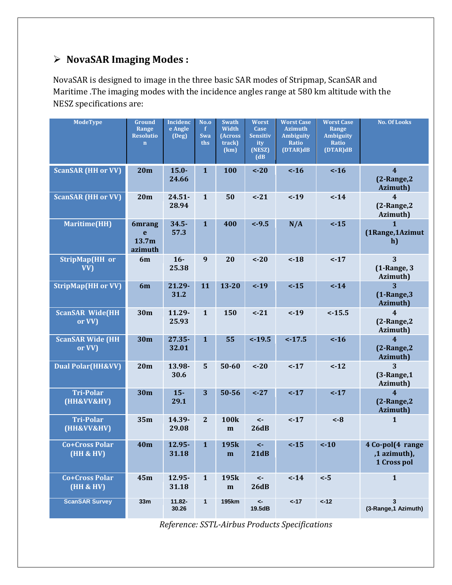## **NovaSAR Imaging Modes :**

NovaSAR is designed to image in the three basic SAR modes of Stripmap, ScanSAR and Maritime .The imaging modes with the incidence angles range at 580 km altitude with the NESZ specifications are:

| <b>ModeType</b>                               | Ground<br>Range<br><b>Resolutio</b><br>$\mathbf n$ | <b>Incidenc</b><br>e Angle<br>(Deg) | <b>No.o</b><br>$\mathbf{f}$<br>Swa<br>ths | <b>Swath</b><br>Width<br>(Across<br>track)<br>(km) | Worst<br>Case<br><b>Sensitiv</b><br>ity<br>(NESZ)<br>(d) | <b>Worst Case</b><br><b>Azimuth</b><br><b>Ambiguity</b><br>Ratio<br>(DTAR)dB | <b>Worst Case</b><br>Range<br><b>Ambiguity</b><br><b>Ratio</b><br>(DTAR)dB | <b>No. Of Looks</b>                                |
|-----------------------------------------------|----------------------------------------------------|-------------------------------------|-------------------------------------------|----------------------------------------------------|----------------------------------------------------------|------------------------------------------------------------------------------|----------------------------------------------------------------------------|----------------------------------------------------|
| <b>ScanSAR (HH or VV)</b>                     | 20m                                                | $15.0 -$<br>24.66                   | $\mathbf{1}$                              | <b>100</b>                                         | $< -20$                                                  | $\leftarrow$ 16                                                              | $\leftarrow$ 16                                                            | $\overline{4}$<br>$(2$ -Range, $2$<br>Azimuth)     |
| <b>ScanSAR (HH or VV)</b>                     | 20m                                                | $24.51 -$<br>28.94                  | $\mathbf{1}$                              | 50                                                 | $-21$                                                    | $< -19$                                                                      | $< -14$                                                                    | $\overline{4}$<br>$(2$ -Range, $2$<br>Azimuth)     |
| <b>Maritime(HH)</b>                           | <b>6mrang</b><br>e<br>13.7m<br>azimuth             | $34.5 -$<br>57.3                    | $\mathbf{1}$                              | 400                                                | $< -9.5$                                                 | N/A                                                                          | $< -15$                                                                    | $\mathbf{1}$<br>(1Range, 1Azimut<br>h)             |
| StripMap(HH or<br>VV)                         | 6m                                                 | $16-$<br>25.38                      | 9                                         | 20                                                 | $-20$                                                    | ~18                                                                          | $< -17$                                                                    | 3<br>(1-Range, 3<br>Azimuth)                       |
| <b>StripMap(HH or VV)</b>                     | 6m                                                 | 21.29-<br>31.2                      | 11                                        | $13 - 20$                                          | $-19$                                                    | $< -15$                                                                      | $< -14$                                                                    | 3<br>$(1$ -Range, $3$<br>Azimuth)                  |
| <b>ScanSAR Wide(HH</b><br>or VV)              | 30m                                                | 11.29-<br>25.93                     | $\mathbf{1}$                              | 150                                                | $-21$                                                    | $< -19$                                                                      | $< -15.5$                                                                  | $\overline{\mathbf{4}}$<br>(2-Range, 2<br>Azimuth) |
| <b>ScanSAR Wide (HH</b><br>or VV)             | 30m                                                | $27.35 -$<br>32.01                  | $\mathbf{1}$                              | 55                                                 | $< -19.5$                                                | $< -17.5$                                                                    | $< -16$                                                                    | $\overline{4}$<br>$(2$ -Range, $2$<br>Azimuth)     |
| <b>Dual Polar(HH&amp;VV)</b>                  | 20 <sub>m</sub>                                    | 13.98-<br>30.6                      | 5                                         | 50-60                                              | $-20$                                                    | $< -17$                                                                      | $-12$                                                                      | 3<br>$(3$ -Range, $1$<br>Azimuth)                  |
| <b>Tri-Polar</b><br>(HH&VV&HV)                | 30m                                                | $15 -$<br>29.1                      | 3                                         | 50-56                                              | $< -27$                                                  | $< -17$                                                                      | $< -17$                                                                    | $\overline{4}$<br>$(2$ -Range, $2$<br>Azimuth)     |
| <b>Tri-Polar</b><br>(HH&VV&HV)                | 35m                                                | 14.39-<br>29.08                     | $\mathbf{2}$                              | <b>100k</b><br>m                                   | $\prec$ -<br>26dB                                        | $-17$                                                                        | $< -8$                                                                     | $\mathbf{1}$                                       |
| <b>Co+Cross Polar</b><br><b>(HH &amp; HV)</b> | <b>40m</b>                                         | 12.95-<br>31.18                     | $\mathbf{1}$                              | 195k<br>m                                          | $\leftarrow$<br>21dB                                     | $< -15$                                                                      | $-10$                                                                      | 4 Co-pol(4 range<br>,1 azimuth),<br>1 Cross pol    |
| <b>Co+Cross Polar</b><br><b>(HH &amp; HV)</b> | 45m                                                | 12.95-<br>31.18                     | $\mathbf{1}$                              | 195k<br>m                                          | $\prec$ -<br>26dB                                        | $< -14$                                                                      | $< -5$                                                                     | $\mathbf{1}$                                       |
| <b>ScanSAR Survey</b>                         | 33m                                                | 11.82-<br>30.26                     | $\mathbf{1}$                              | <b>195km</b>                                       | $\prec$<br>19.5dB                                        | ~17                                                                          | $< -12$                                                                    | 3<br>(3-Range, 1 Azimuth)                          |

*Reference: SSTL-Airbus Products Specifications*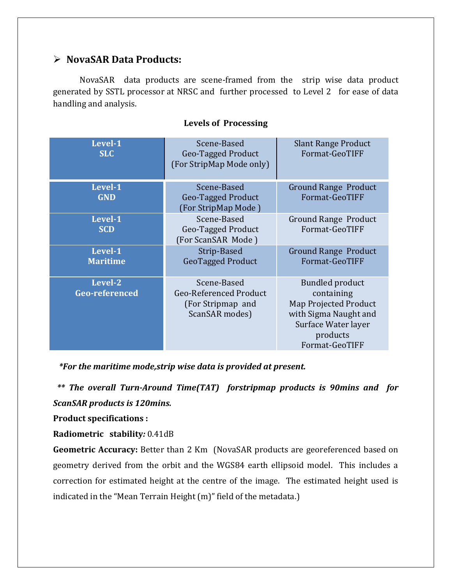## **NovaSAR Data Products:**

NovaSAR data products are scene-framed from the strip wise data product generated by SSTL processor at NRSC and further processed to Level 2 for ease of data handling and analysis.

| Level-1<br><b>SLC</b> | Scene-Based<br>Geo-Tagged Product<br>(For StripMap Mode only) | <b>Slant Range Product</b><br>Format-GeoTIFF |
|-----------------------|---------------------------------------------------------------|----------------------------------------------|
| Level-1               | Scene-Based                                                   | <b>Ground Range Product</b>                  |
| <b>GND</b>            | Geo-Tagged Product                                            | Format-GeoTIFF                               |
|                       | (For StripMap Mode)                                           |                                              |
| Level-1               | Scene-Based                                                   | <b>Ground Range Product</b>                  |
| <b>SCD</b>            | Geo-Tagged Product                                            | Format-GeoTIFF                               |
|                       | (For ScanSAR Mode)                                            |                                              |
| Level-1               | Strip-Based                                                   | <b>Ground Range Product</b>                  |
| <b>Maritime</b>       | <b>GeoTagged Product</b>                                      | Format-GeoTIFF                               |
|                       |                                                               |                                              |
| Level-2               | Scene-Based                                                   | <b>Bundled product</b>                       |
| <b>Geo-referenced</b> | <b>Geo-Referenced Product</b>                                 | containing                                   |
|                       | (For Stripmap and                                             | Map Projected Product                        |
|                       | ScanSAR modes)                                                | with Sigma Naught and                        |
|                       |                                                               | Surface Water layer                          |
|                       |                                                               | products                                     |
|                       |                                                               | Format-GeoTIFF                               |
|                       |                                                               |                                              |

### **Levels of Processing**

 *\*For the maritime mode,strip wise data is provided at present.*

 *\*\* The overall Turn-Around Time(TAT) forstripmap products is 90mins and for ScanSAR products is 120mins.* 

**Product specifications :**

**Radiometric stability***:* 0.41dB

**Geometric Accuracy:** Better than 2 Km (NovaSAR products are georeferenced based on geometry derived from the orbit and the WGS84 earth ellipsoid model. This includes a correction for estimated height at the centre of the image. The estimated height used is indicated in the "Mean Terrain Height (m)" field of the metadata.)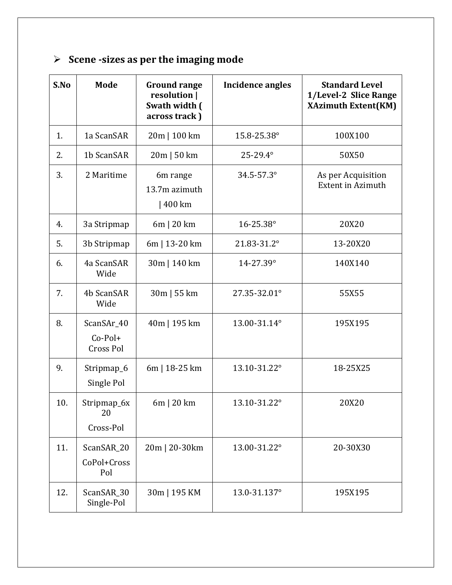# **Scene -sizes as per the imaging mode**

| S.No | Mode                                        | <b>Ground range</b><br>resolution  <br>Swath width (<br>across track) | <b>Incidence angles</b> | <b>Standard Level</b><br>1/Level-2 Slice Range<br><b>XAzimuth Extent(KM)</b> |
|------|---------------------------------------------|-----------------------------------------------------------------------|-------------------------|------------------------------------------------------------------------------|
| 1.   | 1a ScanSAR                                  | 20m   100 km                                                          | 15.8-25.38°             | 100X100                                                                      |
| 2.   | 1b ScanSAR                                  | $20m$   50 km                                                         | 25-29.4°                | 50X50                                                                        |
| 3.   | 2 Maritime                                  | 6m range<br>13.7m azimuth<br>  400 km                                 | 34.5-57.3°              | As per Acquisition<br><b>Extent in Azimuth</b>                               |
| 4.   | 3a Stripmap                                 | $6m$   20 km                                                          | 16-25.38°               | 20X20                                                                        |
| 5.   | 3b Stripmap                                 | 6m   13-20 km                                                         | 21.83-31.2°             | 13-20X20                                                                     |
| 6.   | 4a ScanSAR<br>Wide                          | 30m   140 km                                                          | 14-27.39°               | 140X140                                                                      |
| 7.   | 4b ScanSAR<br>Wide                          | 30m   55 km                                                           | 27.35-32.01°            | 55X55                                                                        |
| 8.   | ScanSAr_40<br>$Co-Pol+$<br><b>Cross Pol</b> | 40m   195 km                                                          | 13.00-31.14°            | 195X195                                                                      |
| 9.   | Stripmap <sub>6</sub><br>Single Pol         | 6m   18-25 km                                                         | 13.10-31.22°            | 18-25X25                                                                     |
| 10.  | Stripmap 6x<br>20<br>Cross-Pol              | 6m   20 km                                                            | 13.10-31.22°            | 20X20                                                                        |
| 11.  | ScanSAR_20<br>CoPol+Cross<br>Pol            | 20m   20-30km                                                         | 13.00-31.22°            | 20-30X30                                                                     |
| 12.  | ScanSAR_30<br>Single-Pol                    | 30m   195 KM                                                          | 13.0-31.137°            | 195X195                                                                      |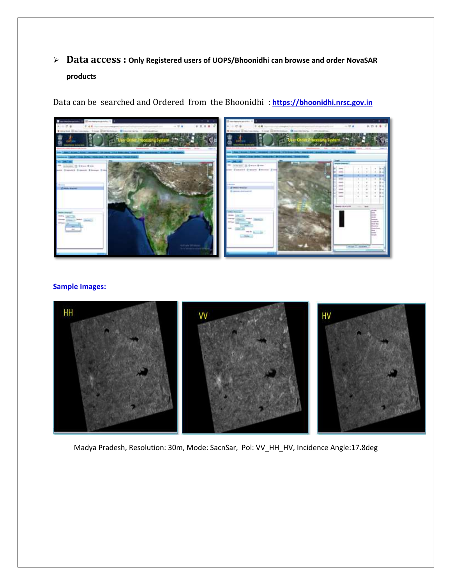**Data access : Only Registered users of UOPS/Bhoonidhi can browse and order NovaSAR products**

Data can be searched and Ordered from the Bhoonidhi : **[https://bhoonidhi.nrsc.gov.in](https://bhoonidhi.nrsc.gov.in/)**



#### **Sample Images:**



Madya Pradesh, Resolution: 30m, Mode: SacnSar, Pol: VV\_HH\_HV, Incidence Angle:17.8deg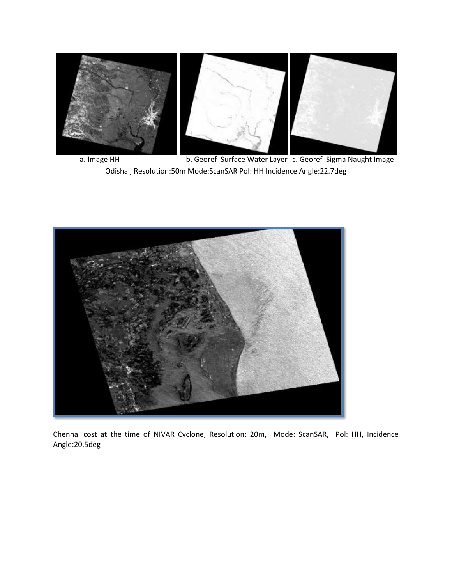

a. Image HH b. Georef Surface Water Layer c. Georef Sigma Naught Image Odisha , Resolution:50m Mode:ScanSAR Pol: HH Incidence Angle:22.7deg



Chennai cost at the time of NIVAR Cyclone, Resolution: 20m, Mode: ScanSAR, Pol: HH, Incidence Angle:20.5deg